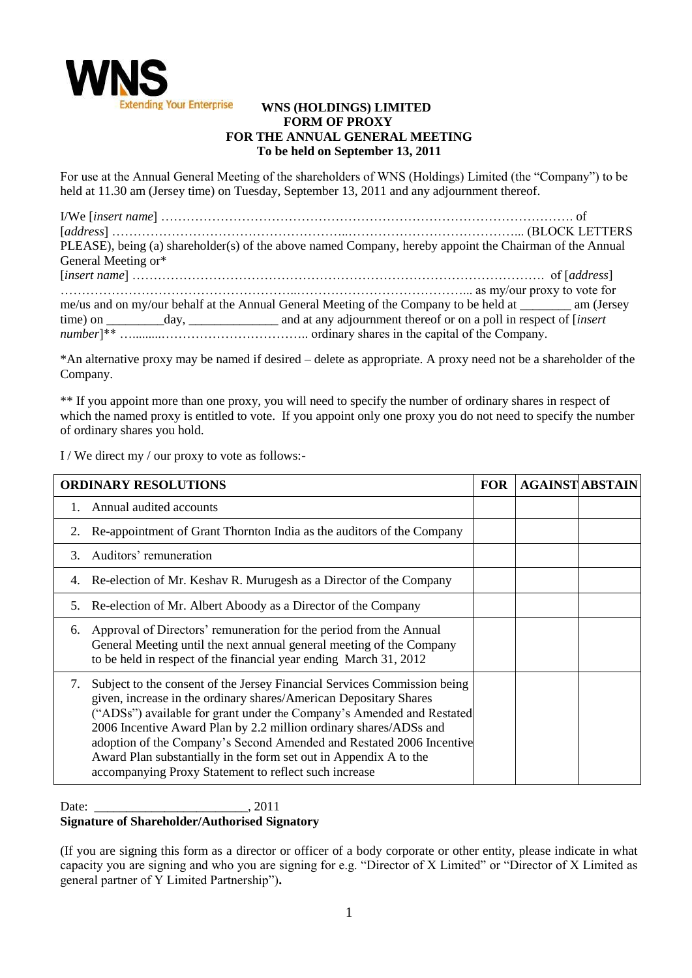

## **WNS (HOLDINGS) LIMITED FORM OF PROXY FOR THE ANNUAL GENERAL MEETING To be held on September 13, 2011**

For use at the Annual General Meeting of the shareholders of WNS (Holdings) Limited (the "Company") to be held at 11.30 am (Jersey time) on Tuesday, September 13, 2011 and any adjournment thereof.

| PLEASE), being (a) shareholder(s) of the above named Company, hereby appoint the Chairman of the Annual   |  |
|-----------------------------------------------------------------------------------------------------------|--|
| General Meeting or*                                                                                       |  |
|                                                                                                           |  |
|                                                                                                           |  |
| me/us and on my/our behalf at the Annual General Meeting of the Company to be held at ________ am (Jersey |  |
|                                                                                                           |  |
|                                                                                                           |  |

\*An alternative proxy may be named if desired – delete as appropriate. A proxy need not be a shareholder of the Company.

\*\* If you appoint more than one proxy, you will need to specify the number of ordinary shares in respect of which the named proxy is entitled to vote. If you appoint only one proxy you do not need to specify the number of ordinary shares you hold.

I / We direct my / our proxy to vote as follows:-

| <b>ORDINARY RESOLUTIONS</b> |                                                                                                                                                                                                                                                                                                                                                                                                                                                                                                   | <b>FOR</b> | <b>AGAINST ABSTAIN</b> |
|-----------------------------|---------------------------------------------------------------------------------------------------------------------------------------------------------------------------------------------------------------------------------------------------------------------------------------------------------------------------------------------------------------------------------------------------------------------------------------------------------------------------------------------------|------------|------------------------|
|                             | Annual audited accounts                                                                                                                                                                                                                                                                                                                                                                                                                                                                           |            |                        |
| 2.                          | Re-appointment of Grant Thornton India as the auditors of the Company                                                                                                                                                                                                                                                                                                                                                                                                                             |            |                        |
| 3                           | Auditors' remuneration                                                                                                                                                                                                                                                                                                                                                                                                                                                                            |            |                        |
|                             | 4. Re-election of Mr. Keshav R. Murugesh as a Director of the Company                                                                                                                                                                                                                                                                                                                                                                                                                             |            |                        |
| 5.                          | Re-election of Mr. Albert Aboody as a Director of the Company                                                                                                                                                                                                                                                                                                                                                                                                                                     |            |                        |
| 6.                          | Approval of Directors' remuneration for the period from the Annual<br>General Meeting until the next annual general meeting of the Company<br>to be held in respect of the financial year ending March 31, 2012                                                                                                                                                                                                                                                                                   |            |                        |
| 7.                          | Subject to the consent of the Jersey Financial Services Commission being<br>given, increase in the ordinary shares/American Depositary Shares<br>("ADSs") available for grant under the Company's Amended and Restated<br>2006 Incentive Award Plan by 2.2 million ordinary shares/ADSs and<br>adoption of the Company's Second Amended and Restated 2006 Incentive<br>Award Plan substantially in the form set out in Appendix A to the<br>accompanying Proxy Statement to reflect such increase |            |                        |

Date: 2011 **Signature of Shareholder/Authorised Signatory**

(If you are signing this form as a director or officer of a body corporate or other entity, please indicate in what capacity you are signing and who you are signing for e.g. "Director of X Limited" or "Director of X Limited as general partner of Y Limited Partnership")**.**